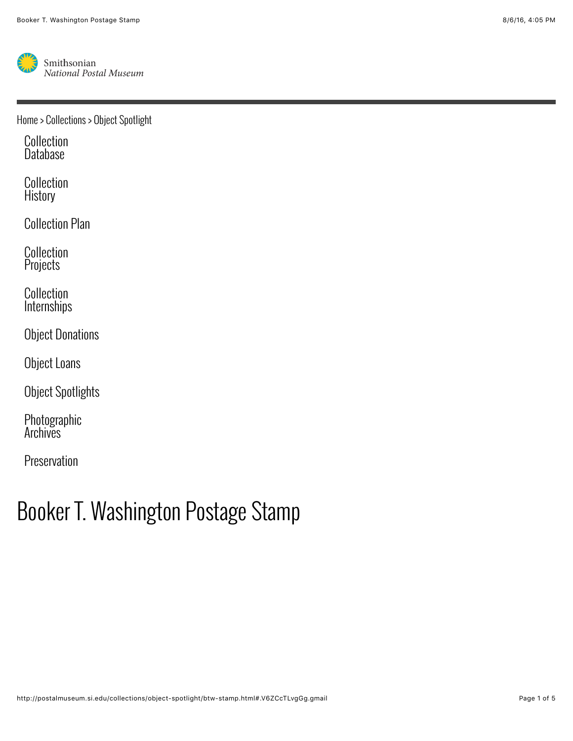

[Home](http://postalmuseum.si.edu/) > [Collections](http://postalmuseum.si.edu/collections/index.html) > [Object Spotlight](http://postalmuseum.si.edu/collections/object-spotlight/index.html)

[Collection](http://postalmuseum.si.edu/collections/arago.html) Database

[Collection](http://postalmuseum.si.edu/collections/collection-history.html) **History** 

[Collection Plan](http://postalmuseum.si.edu/collections/collection-plan.html)

[Collection](http://postalmuseum.si.edu/collections/collection-projects/index.html) **Projects** 

Collection **[Internships](http://postalmuseum.si.edu/collections/collection-internships.html)** 

[Object Donations](http://postalmuseum.si.edu/collections/object-donations/index.html)

[Object Loans](http://postalmuseum.si.edu/collections/object-loans/index.html)

[Object Spotlights](http://postalmuseum.si.edu/collections/object-spotlight/index.html)

[Photographic](http://postalmuseum.si.edu/collections/photographic-archives/index.html) Archives

[Preservation](http://postalmuseum.si.edu/collections/preservation/index.html)

## Booker T. Washington Postage Stamp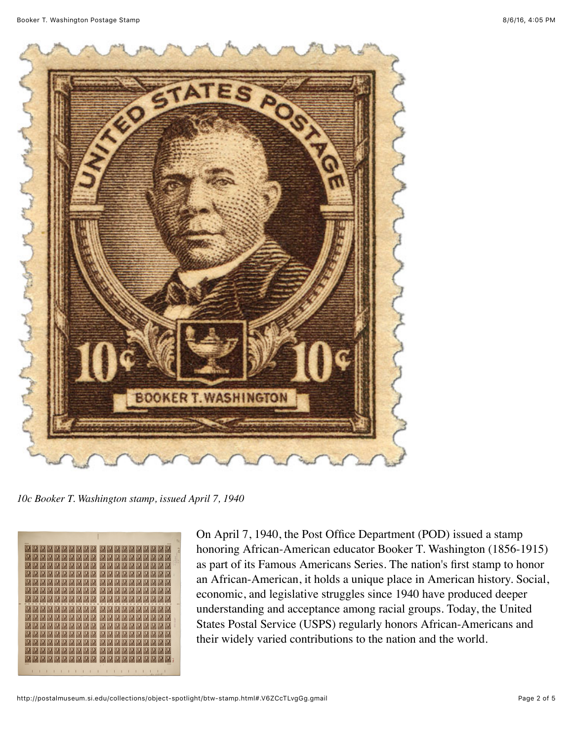

*10c Booker T. Washington stamp, issued April 7, 1940*



On April 7, 1940, the Post Office Department (POD) issued a stamp honoring African-American educator Booker T. Washington (1856-1915) as part of its Famous Americans Series. The nation's first stamp to honor an African-American, it holds a unique place in American history. Social, economic, and legislative struggles since 1940 have produced deeper understanding and acceptance among racial groups. Today, the United States Postal Service (USPS) regularly honors African-Americans and their widely varied contributions to the nation and the world.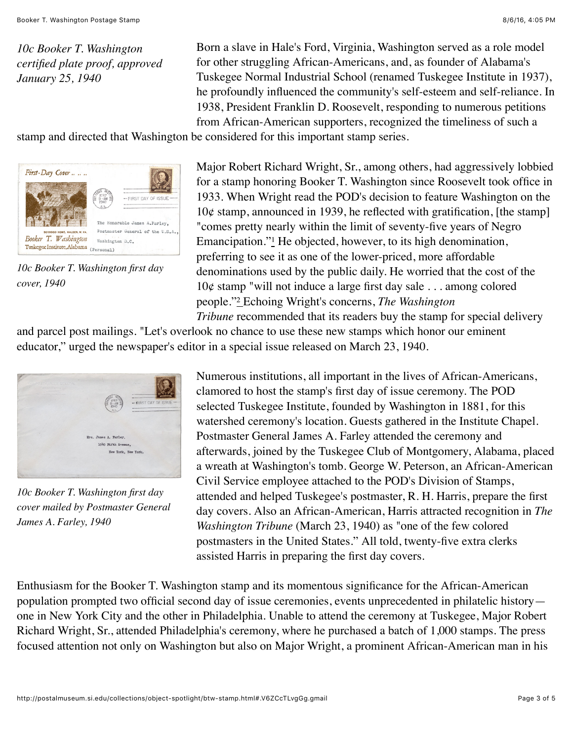*10c Booker T. Washington certified plate proof, approved January 25, 1940*

Born a slave in Hale's Ford, Virginia, Washington served as a role model for other struggling African-Americans, and, as founder of Alabama's Tuskegee Normal Industrial School (renamed Tuskegee Institute in 1937), he profoundly influenced the community's self-esteem and self-reliance. In 1938, President Franklin D. Roosevelt, responding to numerous petitions from African-American supporters, recognized the timeliness of such a

stamp and directed that Washington be considered for this important stamp series.



*10c Booker T. Washington first day cover, 1940*

Major Robert Richard Wright, Sr., among others, had aggressively lobbied for a stamp honoring Booker T. Washington since Roosevelt took office in 1933. When Wright read the POD's decision to feature Washington on the  $10¢$  stamp, announced in 1939, he reflected with gratification, [the stamp] "comes pretty nearly within the limit of seventy-five years of Negro Emancipation." $\frac{1}{2}$  He objected, however, to its high denomination, preferring to see it as one of the lower-priced, more affordable denominations used by the public daily. He worried that the cost of the  $10¢$  stamp "will not induce a large first day sale . . . among colored people."[²](http://postalmuseum.si.edu/collections/object-spotlight/btw-stamp.html#ref2) Echoing Wright's concerns, *The Washington Tribune* recommended that its readers buy the stamp for special delivery

and parcel post mailings. "Let's overlook no chance to use these new stamps which honor our eminent educator," urged the newspaper's editor in a special issue released on March 23, 1940.



*10c Booker T. Washington first day cover mailed by Postmaster General James A. Farley, 1940*

Numerous institutions, all important in the lives of African-Americans, clamored to host the stamp's first day of issue ceremony. The POD selected Tuskegee Institute, founded by Washington in 1881, for this watershed ceremony's location. Guests gathered in the Institute Chapel. Postmaster General James A. Farley attended the ceremony and afterwards, joined by the Tuskegee Club of Montgomery, Alabama, placed a wreath at Washington's tomb. George W. Peterson, an African-American Civil Service employee attached to the POD's Division of Stamps, attended and helped Tuskegee's postmaster, R. H. Harris, prepare the first day covers. Also an African-American, Harris attracted recognition in *The Washington Tribune* (March 23, 1940) as "one of the few colored postmasters in the United States." All told, twenty-five extra clerks assisted Harris in preparing the first day covers.

Enthusiasm for the Booker T. Washington stamp and its momentous significance for the African-American population prompted two official second day of issue ceremonies, events unprecedented in philatelic history one in New York City and the other in Philadelphia. Unable to attend the ceremony at Tuskegee, Major Robert Richard Wright, Sr., attended Philadelphia's ceremony, where he purchased a batch of 1,000 stamps. The press focused attention not only on Washington but also on Major Wright, a prominent African-American man in his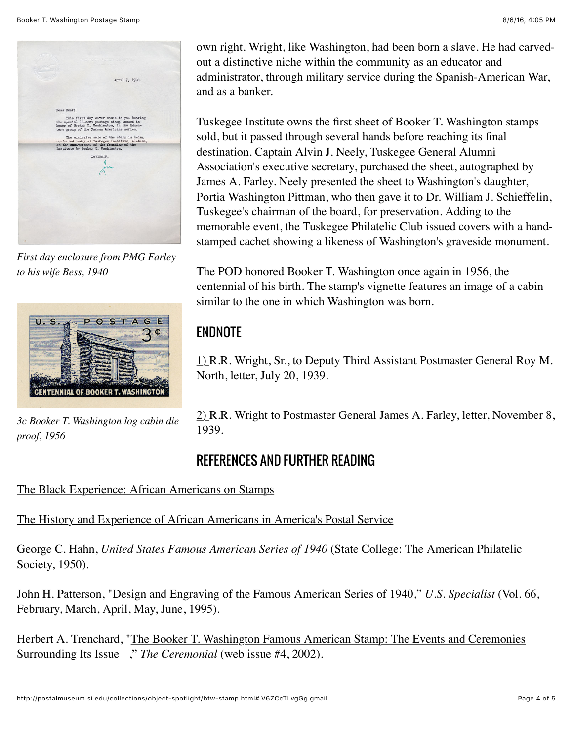

*First day enclosure from PMG Farley to his wife Bess, 1940*



*3c Booker T. Washington log cabin die proof, 1956*

own right. Wright, like Washington, had been born a slave. He had carvedout a distinctive niche within the community as an educator and administrator, through military service during the Spanish-American War, and as a banker.

Tuskegee Institute owns the first sheet of Booker T. Washington stamps sold, but it passed through several hands before reaching its final destination. Captain Alvin J. Neely, Tuskegee General Alumni Association's executive secretary, purchased the sheet, autographed by James A. Farley. Neely presented the sheet to Washington's daughter, Portia Washington Pittman, who then gave it to Dr. William J. Schieffelin, Tuskegee's chairman of the board, for preservation. Adding to the memorable event, the Tuskegee Philatelic Club issued covers with a handstamped cachet showing a likeness of Washington's graveside monument.

The POD honored Booker T. Washington once again in 1956, the centennial of his birth. The stamp's vignette features an image of a cabin similar to the one in which Washington was born.

## ENDNOTE

[1\) R](http://postalmuseum.si.edu/collections/object-spotlight/btw-stamp.html#ftnt1).R. Wright, Sr., to Deputy Third Assistant Postmaster General Roy M. North, letter, July 20, 1939.

[2\) R](http://postalmuseum.si.edu/collections/object-spotlight/btw-stamp.html#ftnt2).R. Wright to Postmaster General James A. Farley, letter, November 8, 1939.

## REFERENCES AND FURTHER READING

[The Black Experience: African Americans on Stamps](http://www.postalmuseum.si.edu/ARAGOBlackExperience)

[The History and Experience of African Americans in America's Postal Service](http://postalmuseum.si.edu/research/topical-reference-pages/african-americans-in-the-postal-service.html)

George C. Hahn, *United States Famous American Series of 1940* (State College: The American Philatelic Society, 1950).

John H. Patterson, "Design and Engraving of the Famous American Series of 1940," *U.S. Specialist* (Vol. 66, February, March, April, May, June, 1995).

[Herbert A. Trenchard, "The Booker T. Washington Famous American Stamp: The Events and Ceremonies](http://www.webacps.org/newsletter/web4/index.htm) Surrounding Its Issue ," *The Ceremonial* (web issue #4, 2002).